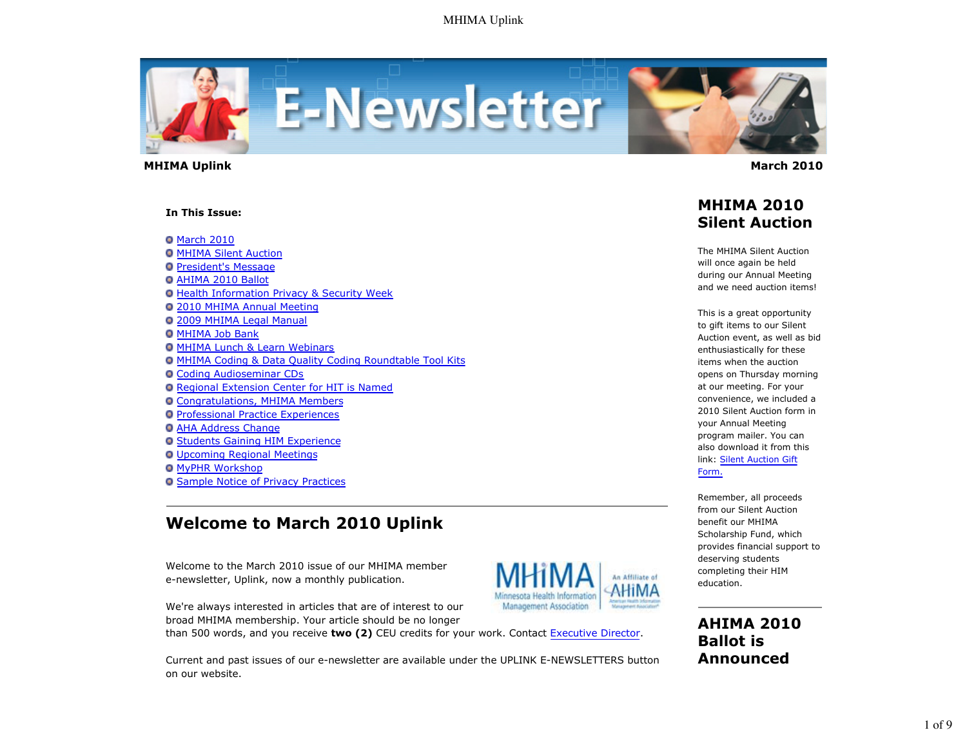

 **MHIMA Uplink March 2010** 

#### **In This Issue:**

**O** March 2010

- **O MHIMA Silent Auction**
- **President's Message**
- AHIMA 2010 Ballot
- **Health Information Privacy & Security Week**
- 2010 MHIMA Annual Meeting
- 2009 MHIMA Legal Manual
- **O MHIMA Job Bank**
- MHIMA Lunch & Learn Webinars
- MHIMA Coding & Data Quality Coding Roundtable Tool Kits
- Coding Audioseminar CDs
- Regional Extension Center for HIT is Named
- Congratulations, MHIMA Members
- **Professional Practice Experiences**
- **O AHA Address Change**
- **O Students Gaining HIM Experience**
- Upcoming Regional Meetings
- **O** MyPHR Workshop
- **O Sample Notice of Privacy Practices**

# **Welcome to March 2010 Uplink**

Welcome to the March 2010 issue of our MHIMA member e-newsletter, Uplink, now a monthly publication.



Current and past issues of our e-newsletter are available under the UPLINK E-NEWSLETTERS button on our website.



**AHIMA 2010 Ballot is Announced**

## **MHIMA 2010 Silent Auction**

The MHIMA Silent Auction will once again be held during our Annual Meeting and we need auction items!

This is a great opportunity to gift items to our Silent Auction event, as well as bid enthusiastically for these items when the auction opens on Thursday morning at our meeting. For your convenience, we included a 2010 Silent Auction form in your Annual Meeting program mailer. You can also download it from this link: Silent Auction Gift Form.

Remember, all proceeds from our Silent Auction benefit our MHIMA Scholarship Fund, which provides financial support to deserving students completing their HIM education.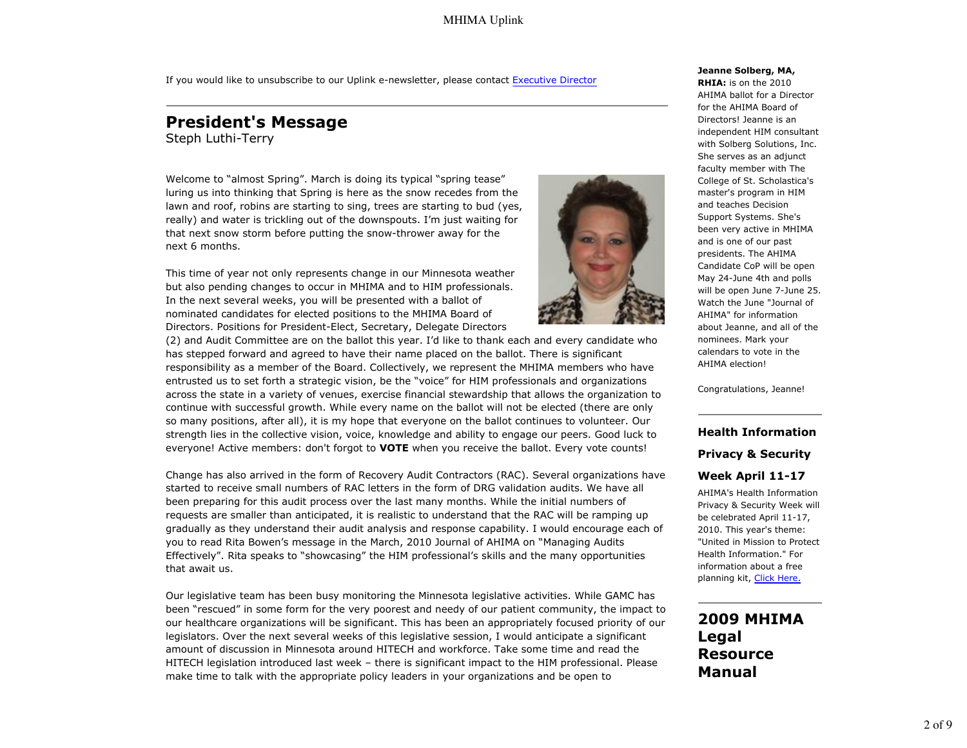If you would like to unsubscribe to our Uplink e-newsletter, please contact Executive Director

# **President's Message**

Steph Luthi-Terry

Welcome to "almost Spring". March is doing its typical "spring tease" luring us into thinking that Spring is here as the snow recedes from the lawn and roof, robins are starting to sing, trees are starting to bud (yes, really) and water is trickling out of the downspouts. I'm just waiting for that next snow storm before putting the snow-thrower away for the next 6 months.

This time of year not only represents change in our Minnesota weather but also pending changes to occur in MHIMA and to HIM professionals. In the next several weeks, you will be presented with a ballot of nominated candidates for elected positions to the MHIMA Board of Directors. Positions for President-Elect, Secretary, Delegate Directors

(2) and Audit Committee are on the ballot this year. I'd like to thank each and every candidate who has stepped forward and agreed to have their name placed on the ballot. There is significant responsibility as a member of the Board. Collectively, we represent the MHIMA members who have entrusted us to set forth a strategic vision, be the "voice" for HIM professionals and organizations across the state in a variety of venues, exercise financial stewardship that allows the organization to continue with successful growth. While every name on the ballot will not be elected (there are only so many positions, after all), it is my hope that everyone on the ballot continues to volunteer. Our strength lies in the collective vision, voice, knowledge and ability to engage our peers. Good luck to everyone! Active members: don't forgot to **VOTE** when you receive the ballot. Every vote counts!

Change has also arrived in the form of Recovery Audit Contractors (RAC). Several organizations have started to receive small numbers of RAC letters in the form of DRG validation audits. We have all been preparing for this audit process over the last many months. While the initial numbers of requests are smaller than anticipated, it is realistic to understand that the RAC will be ramping up gradually as they understand their audit analysis and response capability. I would encourage each of you to read Rita Bowen's message in the March, 2010 Journal of AHIMA on "Managing Audits Effectively". Rita speaks to "showcasing" the HIM professional's skills and the many opportunities that await us.

Our legislative team has been busy monitoring the Minnesota legislative activities. While GAMC has been "rescued" in some form for the very poorest and needy of our patient community, the impact to our healthcare organizations will be significant. This has been an appropriately focused priority of our legislators. Over the next several weeks of this legislative session, I would anticipate a significant amount of discussion in Minnesota around HITECH and workforce. Take some time and read the HITECH legislation introduced last week – there is significant impact to the HIM professional. Please make time to talk with the appropriate policy leaders in your organizations and be open to



**Jeanne Solberg, MA,**

**RHIA:** is on the 2010 AHIMA ballot for a Director for the AHIMA Board of Directors! Jeanne is an independent HIM consultant with Solberg Solutions, Inc. She serves as an adjunct faculty member with The College of St. Scholastica's master's program in HIM and teaches Decision Support Systems. She's been very active in MHIMA and is one of our past presidents. The AHIMA Candidate CoP will be open May 24-June 4th and polls will be open June 7-June 25. Watch the June "Journal of AHIMA" for information about Jeanne, and all of the nominees. Mark your calendars to vote in the AHIMA election!

Congratulations, Jeanne!

#### **Health Information**

**Privacy & Security**

#### **Week April 11-17**

AHIMA's Health Information Privacy & Security Week will be celebrated April 11-17, 2010. This year's theme: "United in Mission to Protect Health Information." For information about a free planning kit, Click Here.

**2009 MHIMA Legal Resource Manual**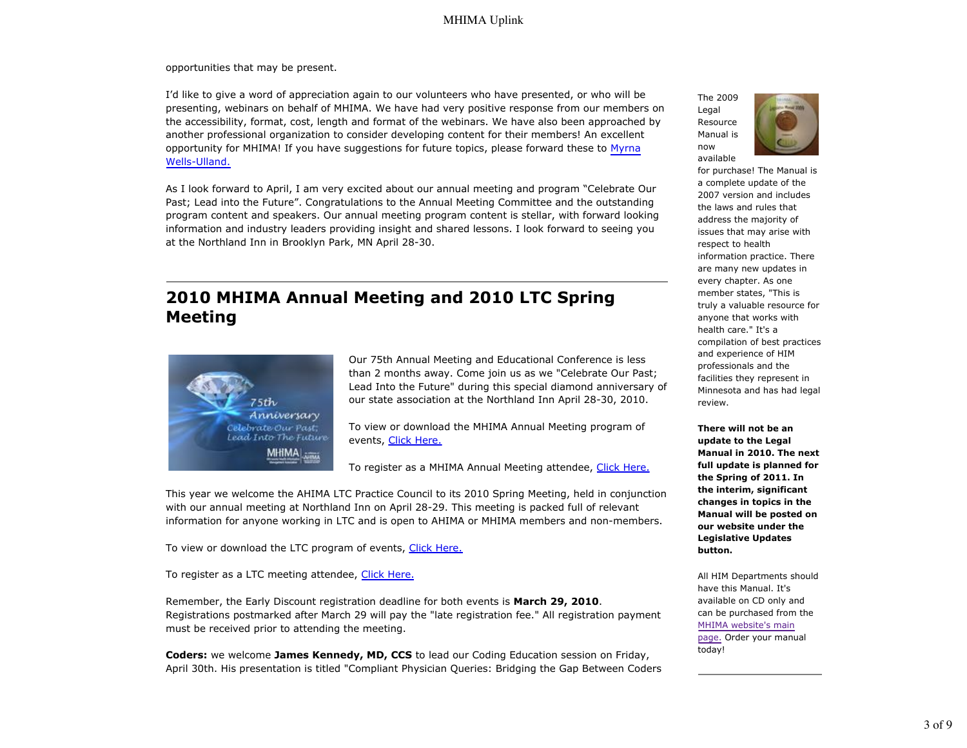opportunities that may be present.

I'd like to give a word of appreciation again to our volunteers who have presented, or who will be presenting, webinars on behalf of MHIMA. We have had very positive response from our members on the accessibility, format, cost, length and format of the webinars. We have also been approached by another professional organization to consider developing content for their members! An excellent opportunity for MHIMA! If you have suggestions for future topics, please forward these to Myrna Wells-Ulland.

As I look forward to April, I am very excited about our annual meeting and program "Celebrate Our Past; Lead into the Future". Congratulations to the Annual Meeting Committee and the outstanding program content and speakers. Our annual meeting program content is stellar, with forward looking information and industry leaders providing insight and shared lessons. I look forward to seeing you at the Northland Inn in Brooklyn Park, MN April 28-30.

# **2010 MHIMA Annual Meeting and 2010 LTC Spring Meeting**



Our 75th Annual Meeting and Educational Conference is less than 2 months away. Come join us as we "Celebrate Our Past; Lead Into the Future" during this special diamond anniversary of our state association at the Northland Inn April 28-30, 2010.

To view or download the MHIMA Annual Meeting program of events, Click Here.

To register as a MHIMA Annual Meeting attendee, Click Here.

This year we welcome the AHIMA LTC Practice Council to its 2010 Spring Meeting, held in conjunction with our annual meeting at Northland Inn on April 28-29. This meeting is packed full of relevant information for anyone working in LTC and is open to AHIMA or MHIMA members and non-members.

To view or download the LTC program of events, Click Here.

To register as a LTC meeting attendee, Click Here.

Remember, the Early Discount registration deadline for both events is **March 29, 2010**. Registrations postmarked after March 29 will pay the "late registration fee." All registration payment must be received prior to attending the meeting.

**Coders:** we welcome **James Kennedy, MD, CCS** to lead our Coding Education session on Friday, April 30th. His presentation is titled "Compliant Physician Queries: Bridging the Gap Between Coders The 2009 Legal Resource Manual is now available



for purchase! The Manual is a complete update of the 2007 version and includes the laws and rules that address the majority of issues that may arise with respect to health information practice. There are many new updates in every chapter. As one member states, "This is truly a valuable resource for anyone that works with health care." It's a compilation of best practices and experience of HIM professionals and the facilities they represent in Minnesota and has had legal review.

**There will not be an update to the Legal Manual in 2010. The next full update is planned for the Spring of 2011. In the interim, significant changes in topics in the Manual will be posted on our website under the Legislative Updates button.**

All HIM Departments should have this Manual. It's available on CD only and can be purchased from the MHIMA website's main page. Order your manual today!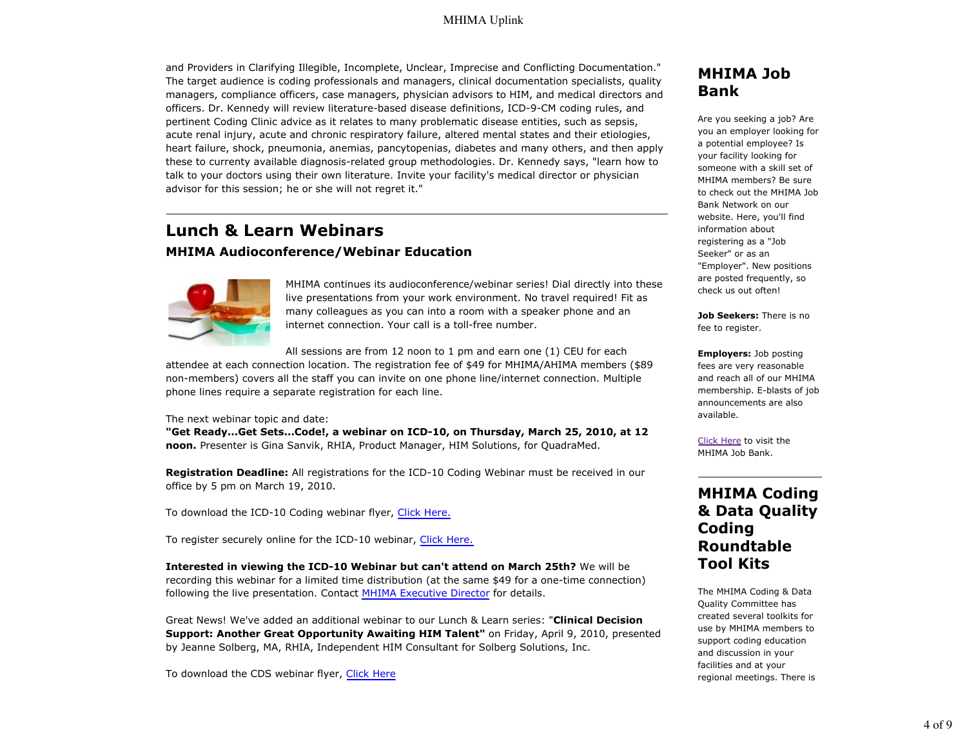#### MHIMA Uplink

and Providers in Clarifying Illegible, Incomplete, Unclear, Imprecise and Conflicting Documentation." The target audience is coding professionals and managers, clinical documentation specialists, quality managers, compliance officers, case managers, physician advisors to HIM, and medical directors and officers. Dr. Kennedy will review literature-based disease definitions, ICD-9-CM coding rules, and pertinent Coding Clinic advice as it relates to many problematic disease entities, such as sepsis, acute renal injury, acute and chronic respiratory failure, altered mental states and their etiologies, heart failure, shock, pneumonia, anemias, pancytopenias, diabetes and many others, and then apply these to currenty available diagnosis-related group methodologies. Dr. Kennedy says, "learn how to talk to your doctors using their own literature. Invite your facility's medical director or physician advisor for this session; he or she will not regret it."

## **Lunch & Learn Webinars MHIMA Audioconference/Webinar Education**



MHIMA continues its audioconference/webinar series! Dial directly into these live presentations from your work environment. No travel required! Fit as many colleagues as you can into a room with a speaker phone and an internet connection. Your call is a toll-free number.

All sessions are from 12 noon to 1 pm and earn one (1) CEU for each

attendee at each connection location. The registration fee of \$49 for MHIMA/AHIMA members (\$89 non-members) covers all the staff you can invite on one phone line/internet connection. Multiple phone lines require a separate registration for each line.

The next webinar topic and date:

**"Get Ready...Get Sets...Code!, a webinar on ICD-10, on Thursday, March 25, 2010, at 12 noon.** Presenter is Gina Sanvik, RHIA, Product Manager, HIM Solutions, for QuadraMed.

**Registration Deadline:** All registrations for the ICD-10 Coding Webinar must be received in our office by 5 pm on March 19, 2010.

To download the ICD-10 Coding webinar flyer, Click Here.

To register securely online for the ICD-10 webinar, Click Here.

**Interested in viewing the ICD-10 Webinar but can't attend on March 25th?** We will be recording this webinar for a limited time distribution (at the same \$49 for a one-time connection) following the live presentation. Contact MHIMA Executive Director for details.

Great News! We've added an additional webinar to our Lunch & Learn series: "**Clinical Decision Support: Another Great Opportunity Awaiting HIM Talent"** on Friday, April 9, 2010, presented by Jeanne Solberg, MA, RHIA, Independent HIM Consultant for Solberg Solutions, Inc.

To download the CDS webinar flyer, Click Here

## **MHIMA Job Bank**

Are you seeking a job? Are you an employer looking for a potential employee? Is your facility looking for someone with a skill set of MHIMA members? Be sure to check out the MHIMA Job Bank Network on our website. Here, you'll find information about registering as a "Job Seeker" or as an "Employer". New positions are posted frequently, so check us out often!

**Job Seekers:** There is no fee to register.

**Employers:** Job posting fees are very reasonable and reach all of our MHIMA membership. E-blasts of job announcements are also available.

Click Here to visit the MHIMA Job Bank.

# **MHIMA Coding & Data Quality Coding Roundtable Tool Kits**

The MHIMA Coding & Data Quality Committee has created several toolkits for use by MHIMA members to support coding education and discussion in your facilities and at your regional meetings. There is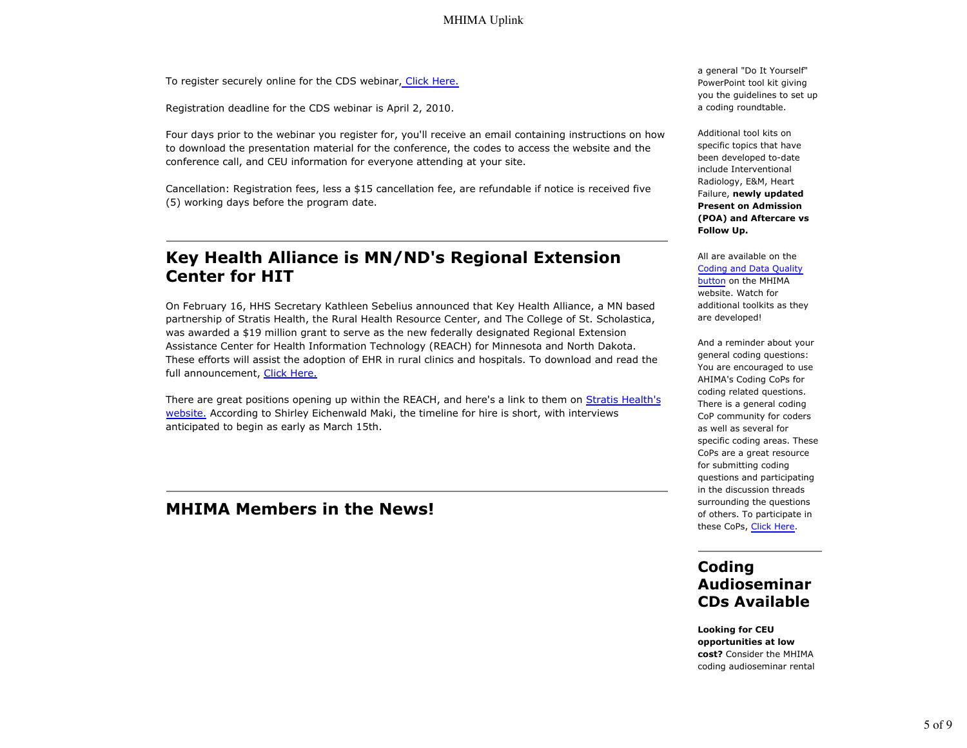To register securely online for the CDS webinar, Click Here.

Registration deadline for the CDS webinar is April 2, 2010.

Four days prior to the webinar you register for, you'll receive an email containing instructions on how to download the presentation material for the conference, the codes to access the website and the conference call, and CEU information for everyone attending at your site.

Cancellation: Registration fees, less a \$15 cancellation fee, are refundable if notice is received five (5) working days before the program date.

## **Key Health Alliance is MN/ND's Regional Extension Center for HIT**

On February 16, HHS Secretary Kathleen Sebelius announced that Key Health Alliance, a MN based partnership of Stratis Health, the Rural Health Resource Center, and The College of St. Scholastica, was awarded a \$19 million grant to serve as the new federally designated Regional Extension Assistance Center for Health Information Technology (REACH) for Minnesota and North Dakota. These efforts will assist the adoption of EHR in rural clinics and hospitals. To download and read the full announcement, Click Here.

There are great positions opening up within the REACH, and here's a link to them on Stratis Health's website. According to Shirley Eichenwald Maki, the timeline for hire is short, with interviews anticipated to begin as early as March 15th.

## **MHIMA Members in the News!**

a general "Do It Yourself" PowerPoint tool kit giving you the guidelines to set up a coding roundtable.

Additional tool kits on specific topics that have been developed to-date include Interventional Radiology, E&M, Heart Failure, **newly updated Present on Admission (POA) and Aftercare vs Follow Up.**

All are available on the Coding and Data Quality button on the MHIMA website. Watch for additional toolkits as they are developed!

And a reminder about your general coding questions: You are encouraged to use AHIMA's Coding CoPs for coding related questions. There is a general coding CoP community for coders as well as several for specific coding areas. These CoPs are a great resource for submitting coding questions and participating in the discussion threads surrounding the questions of others. To participate in these CoPs, Click Here.

## **Coding Audioseminar CDs Available**

**Looking for CEU opportunities at low cost?** Consider the MHIMA coding audioseminar rental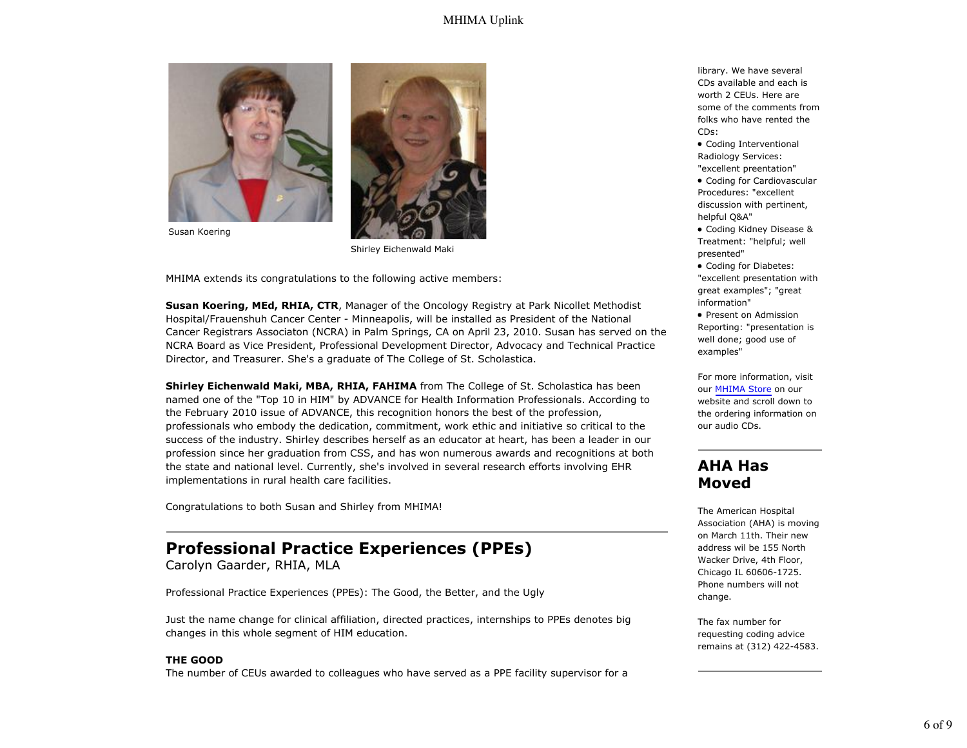### MHIMA Uplink





Susan Koering

Shirley Eichenwald Maki

MHIMA extends its congratulations to the following active members:

**Susan Koering, MEd, RHIA, CTR**, Manager of the Oncology Registry at Park Nicollet Methodist Hospital/Frauenshuh Cancer Center - Minneapolis, will be installed as President of the National Cancer Registrars Associaton (NCRA) in Palm Springs, CA on April 23, 2010. Susan has served on the NCRA Board as Vice President, Professional Development Director, Advocacy and Technical Practice Director, and Treasurer. She's a graduate of The College of St. Scholastica.

**Shirley Eichenwald Maki, MBA, RHIA, FAHIMA** from The College of St. Scholastica has been named one of the "Top 10 in HIM" by ADVANCE for Health Information Professionals. According to the February 2010 issue of ADVANCE, this recognition honors the best of the profession, professionals who embody the dedication, commitment, work ethic and initiative so critical to the success of the industry. Shirley describes herself as an educator at heart, has been a leader in our profession since her graduation from CSS, and has won numerous awards and recognitions at both the state and national level. Currently, she's involved in several research efforts involving EHR implementations in rural health care facilities.

Congratulations to both Susan and Shirley from MHIMA!

## **Professional Practice Experiences (PPEs)**

Carolyn Gaarder, RHIA, MLA

Professional Practice Experiences (PPEs): The Good, the Better, and the Ugly

Just the name change for clinical affiliation, directed practices, internships to PPEs denotes big changes in this whole segment of HIM education.

#### **THE GOOD**

The number of CEUs awarded to colleagues who have served as a PPE facility supervisor for a

library. We have several CDs available and each is worth 2 CEUs. Here are some of the comments from folks who have rented the CDs:

Coding Interventional Radiology Services: "excellent preentation"

Coding for Cardiovascular Procedures: "excellent discussion with pertinent, helpful Q&A"

Coding Kidney Disease & Treatment: "helpful; well presented"

Coding for Diabetes: "excellent presentation with great examples"; "great information"

• Present on Admission Reporting: "presentation is well done; good use of examples"

For more information, visit our MHIMA Store on our website and scroll down to the ordering information on our audio CDs.

## **AHA Has Moved**

The American Hospital Association (AHA) is moving on March 11th. Their new address wil be 155 North Wacker Drive, 4th Floor, Chicago IL 60606-1725. Phone numbers will not change.

The fax number for requesting coding advice remains at (312) 422-4583.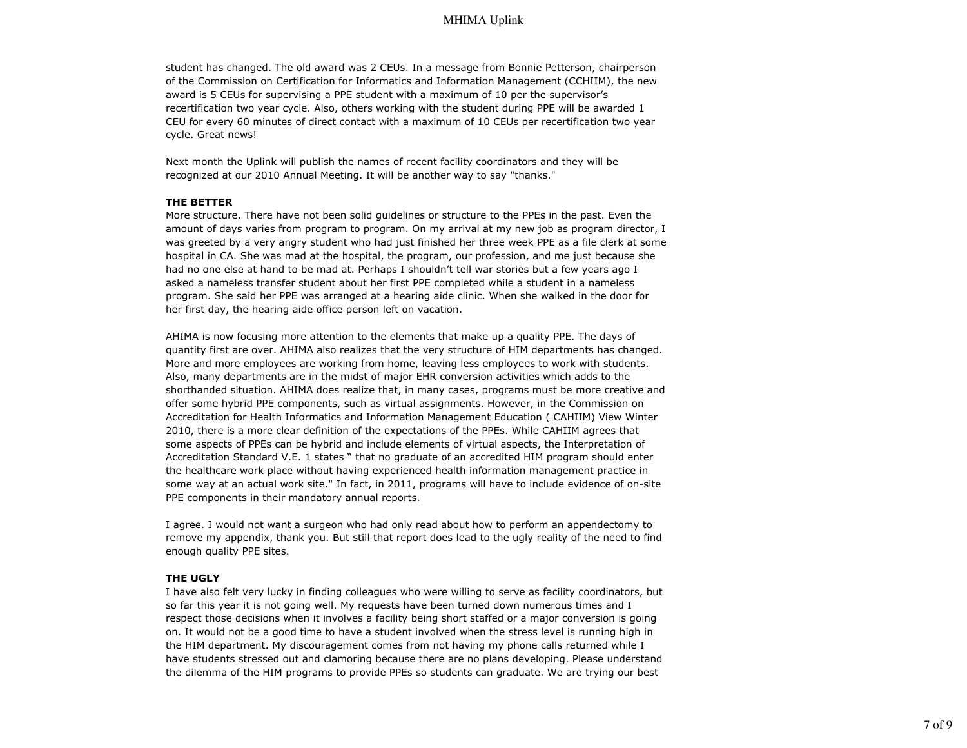#### MHIMA Uplink

student has changed. The old award was 2 CEUs. In a message from Bonnie Petterson, chairperson of the Commission on Certification for Informatics and Information Management (CCHIIM), the new award is 5 CEUs for supervising a PPE student with a maximum of 10 per the supervisor's recertification two year cycle. Also, others working with the student during PPE will be awarded 1 CEU for every 60 minutes of direct contact with a maximum of 10 CEUs per recertification two year cycle. Great news!

Next month the Uplink will publish the names of recent facility coordinators and they will be recognized at our 2010 Annual Meeting. It will be another way to say "thanks."

#### **THE BETTER**

More structure. There have not been solid guidelines or structure to the PPEs in the past. Even the amount of days varies from program to program. On my arrival at my new job as program director, I was greeted by a very angry student who had just finished her three week PPE as a file clerk at some hospital in CA. She was mad at the hospital, the program, our profession, and me just because she had no one else at hand to be mad at. Perhaps I shouldn't tell war stories but a few years ago I asked a nameless transfer student about her first PPE completed while a student in a nameless program. She said her PPE was arranged at a hearing aide clinic. When she walked in the door for her first day, the hearing aide office person left on vacation.

AHIMA is now focusing more attention to the elements that make up a quality PPE. The days of quantity first are over. AHIMA also realizes that the very structure of HIM departments has changed. More and more employees are working from home, leaving less employees to work with students. Also, many departments are in the midst of major EHR conversion activities which adds to the shorthanded situation. AHIMA does realize that, in many cases, programs must be more creative and offer some hybrid PPE components, such as virtual assignments. However, in the Commission on Accreditation for Health Informatics and Information Management Education ( CAHIIM) View Winter 2010, there is a more clear definition of the expectations of the PPEs. While CAHIIM agrees that some aspects of PPEs can be hybrid and include elements of virtual aspects, the Interpretation of Accreditation Standard V.E. 1 states " that no graduate of an accredited HIM program should enter the healthcare work place without having experienced health information management practice in some way at an actual work site." In fact, in 2011, programs will have to include evidence of on-site PPE components in their mandatory annual reports.

I agree. I would not want a surgeon who had only read about how to perform an appendectomy to remove my appendix, thank you. But still that report does lead to the ugly reality of the need to find enough quality PPE sites.

#### **THE UGLY**

I have also felt very lucky in finding colleagues who were willing to serve as facility coordinators, but so far this year it is not going well. My requests have been turned down numerous times and I respect those decisions when it involves a facility being short staffed or a major conversion is going on. It would not be a good time to have a student involved when the stress level is running high in the HIM department. My discouragement comes from not having my phone calls returned while I have students stressed out and clamoring because there are no plans developing. Please understand the dilemma of the HIM programs to provide PPEs so students can graduate. We are trying our best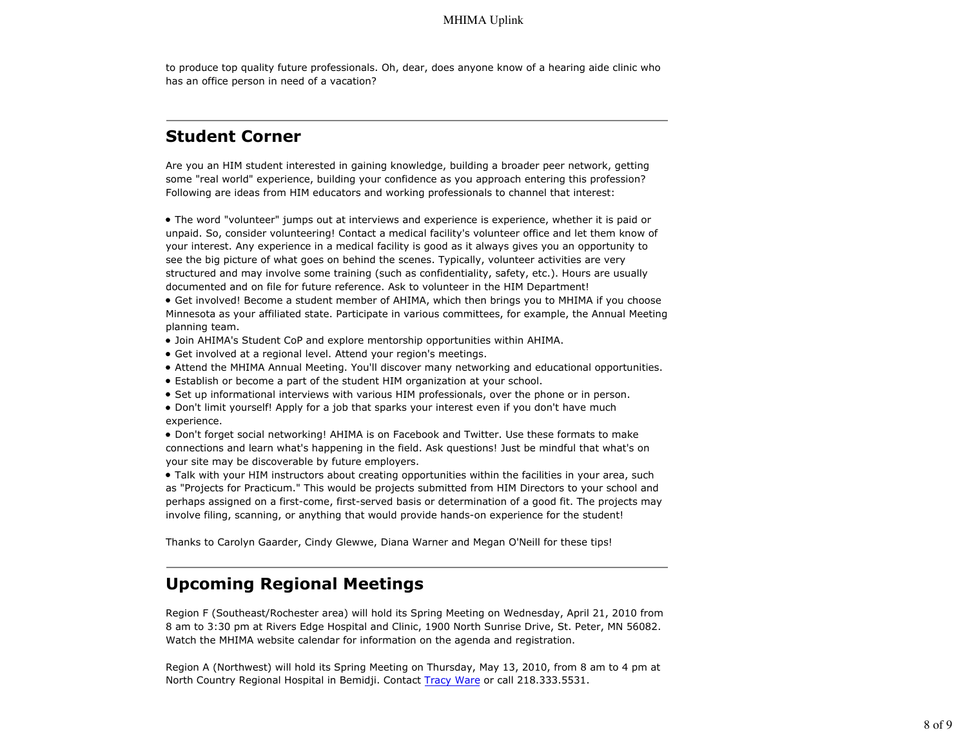to produce top quality future professionals. Oh, dear, does anyone know of a hearing aide clinic who has an office person in need of a vacation?

# **Student Corner**

Are you an HIM student interested in gaining knowledge, building a broader peer network, getting some "real world" experience, building your confidence as you approach entering this profession? Following are ideas from HIM educators and working professionals to channel that interest:

The word "volunteer" jumps out at interviews and experience is experience, whether it is paid or unpaid. So, consider volunteering! Contact a medical facility's volunteer office and let them know of your interest. Any experience in a medical facility is good as it always gives you an opportunity to see the big picture of what goes on behind the scenes. Typically, volunteer activities are very structured and may involve some training (such as confidentiality, safety, etc.). Hours are usually documented and on file for future reference. Ask to volunteer in the HIM Department!

Get involved! Become a student member of AHIMA, which then brings you to MHIMA if you choose Minnesota as your affiliated state. Participate in various committees, for example, the Annual Meeting planning team.

- Join AHIMA's Student CoP and explore mentorship opportunities within AHIMA.
- Get involved at a regional level. Attend your region's meetings.
- Attend the MHIMA Annual Meeting. You'll discover many networking and educational opportunities.
- Establish or become a part of the student HIM organization at your school.
- Set up informational interviews with various HIM professionals, over the phone or in person.

Don't limit yourself! Apply for a job that sparks your interest even if you don't have much experience.

Don't forget social networking! AHIMA is on Facebook and Twitter. Use these formats to make connections and learn what's happening in the field. Ask questions! Just be mindful that what's on your site may be discoverable by future employers.

Talk with your HIM instructors about creating opportunities within the facilities in your area, such as "Projects for Practicum." This would be projects submitted from HIM Directors to your school and perhaps assigned on a first-come, first-served basis or determination of a good fit. The projects may involve filing, scanning, or anything that would provide hands-on experience for the student!

Thanks to Carolyn Gaarder, Cindy Glewwe, Diana Warner and Megan O'Neill for these tips!

# **Upcoming Regional Meetings**

Region F (Southeast/Rochester area) will hold its Spring Meeting on Wednesday, April 21, 2010 from 8 am to 3:30 pm at Rivers Edge Hospital and Clinic, 1900 North Sunrise Drive, St. Peter, MN 56082. Watch the MHIMA website calendar for information on the agenda and registration.

Region A (Northwest) will hold its Spring Meeting on Thursday, May 13, 2010, from 8 am to 4 pm at North Country Regional Hospital in Bemidji. Contact Tracy Ware or call 218.333.5531.